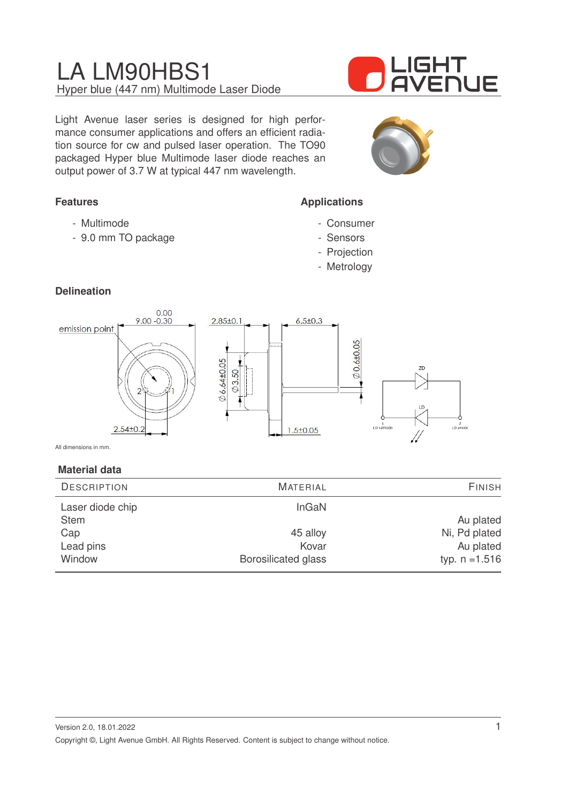Light Avenue laser series is designed for high performance consumer applications and offers an efficient radiation source for cw and pulsed laser operation. The TO90 packaged Hyper blue Multimode laser diode reaches an output power of 3.7 W at typical 447 nm wavelength.

### **Features**

- Multimode
- 9.0 mm TO package

# IGHT **AVENUE**



### **Applications**

- Consumer
- Sensors
- Projection
- Metrology

### **Delineation**



All dimensions in mm.

### **Material data**

| <b>DESCRIPTION</b> | <b>MATERIAL</b>     | <b>FINISH</b>    |
|--------------------|---------------------|------------------|
| Laser diode chip   | InGaN               |                  |
| <b>Stem</b>        |                     | Au plated        |
| Cap                | 45 alloy            | Ni, Pd plated    |
| Lead pins          | Kovar               | Au plated        |
| Window             | Borosilicated glass | typ. $n = 1.516$ |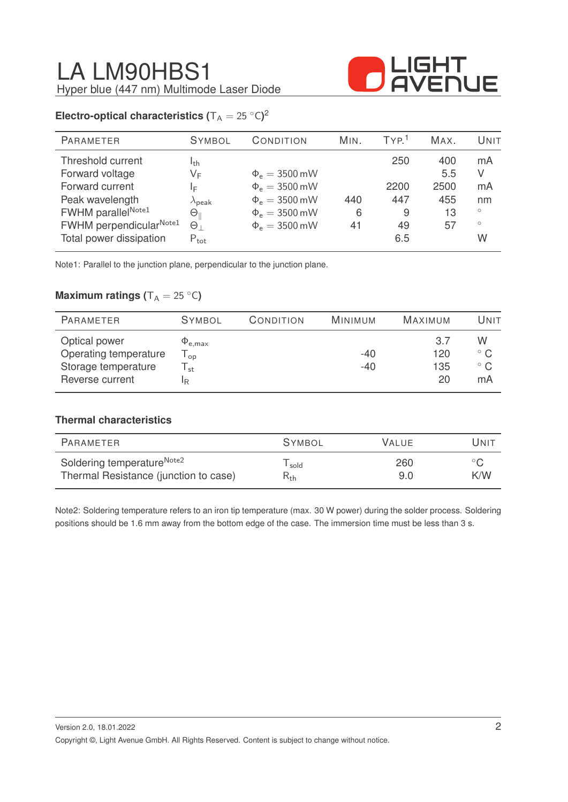

### **Electro-optical characteristics (** $T_A = 25 °C$ )<sup>2</sup>

| <b>SYMBOL</b>        | CONDITION          | MIN. | TYP <sup>1</sup> | MAX. | UNIT    |
|----------------------|--------------------|------|------------------|------|---------|
| I <sub>th</sub>      |                    |      | 250              | 400  | mA      |
| VF                   | $\Phi_e = 3500$ mW |      |                  | 5.5  | V       |
| ΙF                   | $\Phi_e = 3500$ mW |      | 2200             | 2500 | mA      |
| $\lambda_{\rm peak}$ | $\Phi_e = 3500$ mW | 440  | 447              | 455  | nm      |
| $\Theta_\parallel$   | $\Phi_e = 3500$ mW | 6    | 9                | 13   | $\circ$ |
| $\Theta_{\perp}$     | $\Phi_e = 3500$ mW | 41   | 49               | 57   | $\circ$ |
| $P_{\text{tot}}$     |                    |      | 6.5              |      | W       |
|                      |                    |      |                  |      |         |

Note1: Parallel to the junction plane, perpendicular to the junction plane.

### **Maximum ratings (** $T_A = 25 °C$ )

| PARAMETER                                                                        | <b>SYMBOL</b>                            | CONDITION | MINIMUM        | MAXIMUM                 | Unit                                    |
|----------------------------------------------------------------------------------|------------------------------------------|-----------|----------------|-------------------------|-----------------------------------------|
| Optical power<br>Operating temperature<br>Storage temperature<br>Reverse current | $\Psi_{\rm e, max}$<br>l op<br>st.<br>IR |           | $-40$<br>$-40$ | 3.7<br>120<br>135<br>20 | W<br>$^{\circ}$ C<br>$^{\circ}$ C<br>mA |

### **Thermal characteristics**

| PARAMETER                              | <b>SYMBOL</b> | VALUE. | Unit           |
|----------------------------------------|---------------|--------|----------------|
| Soldering temperature <sup>Note2</sup> | sold          | 260    | $\circ$ $\cap$ |
| Thermal Resistance (junction to case)  | $R_{\rm th}$  | 9.0    | K/W            |

Note2: Soldering temperature refers to an iron tip temperature (max. 30 W power) during the solder process. Soldering positions should be 1.6 mm away from the bottom edge of the case. The immersion time must be less than 3 s.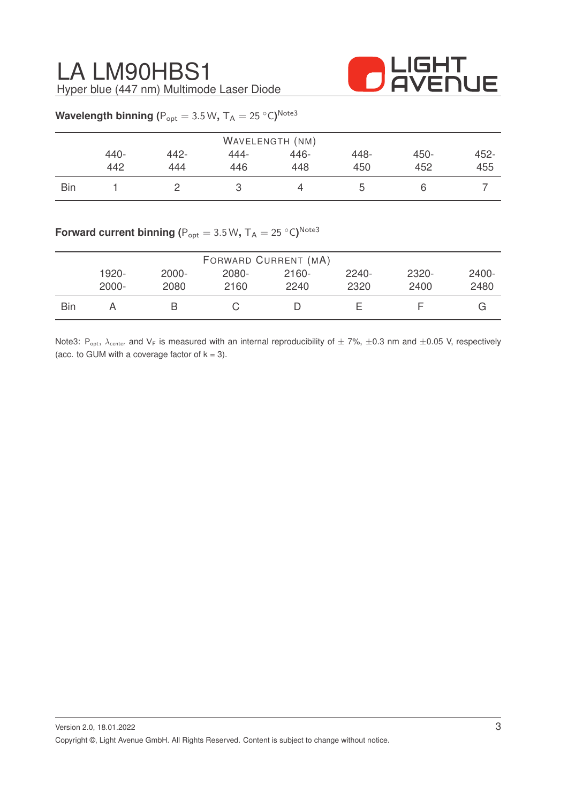

|            |      |      |      | WAVELENGTH (NM) |      |      |      |
|------------|------|------|------|-----------------|------|------|------|
|            | 440- | 442- | 444- | 446-            | 448- | 450- | 452- |
|            | 442  | 444  | 446  | 448             | 450  | 452  | 455  |
| <b>Bin</b> |      |      | М    |                 | b    | ь    |      |

### $\textsf{Wavelength}$  binning ( $\textsf{P}_{\textup{opt}} = 3.5 \, \textsf{W}, \, \textsf{T}_{\textsf{A}} = 25 \, \text{°C} \textsf{)}^{\textsf{Note3}}$

### $\mathsf{Forward}$  current binning ( $\mathsf{P}_{\mathsf{opt}} = 3.5\,\mathsf{W},\, \mathsf{T}_{\mathsf{A}} = 25\,\mathrm{^{\circ} C})^{\mathsf{Note3}}$

|     |          |          | FORWARD CURRENT (MA) |       |          |       |       |
|-----|----------|----------|----------------------|-------|----------|-------|-------|
|     | 1920-    | $2000 -$ | 2080-                | 2160- | $2240 -$ | 2320- | 2400- |
|     | $2000 -$ | 2080     | 2160                 | 2240  | 2320     | 2400  | 2480  |
| Bin |          |          |                      |       |          |       | G     |

Note3: P<sub>opt</sub>,  $\lambda_{\text{center}}$  and  $V_F$  is measured with an internal reproducibility of  $\pm 7\%$ ,  $\pm 0.3$  nm and  $\pm 0.05$  V, respectively (acc. to GUM with a coverage factor of  $k = 3$ ).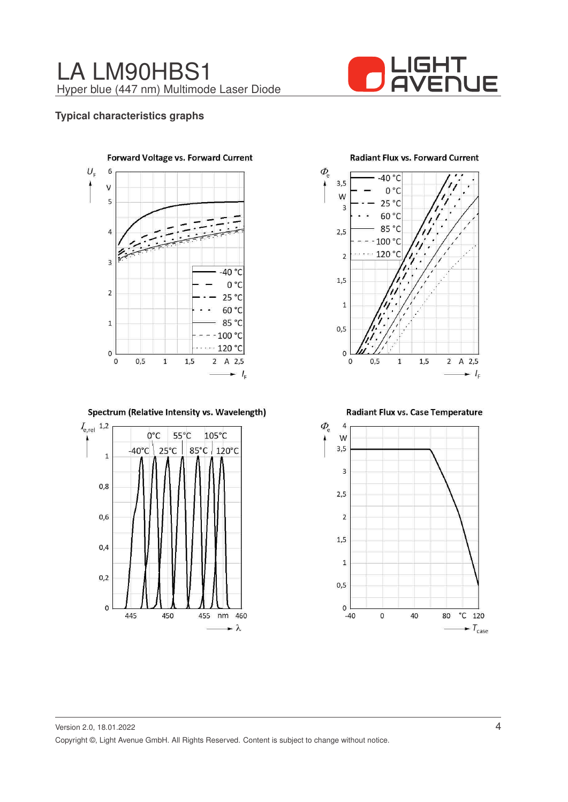

### **Typical characteristics graphs**



#### Spectrum (Relative Intensity vs. Wavelength)



**Radiant Flux vs. Forward Current** 



Radiant Flux vs. Case Temperature

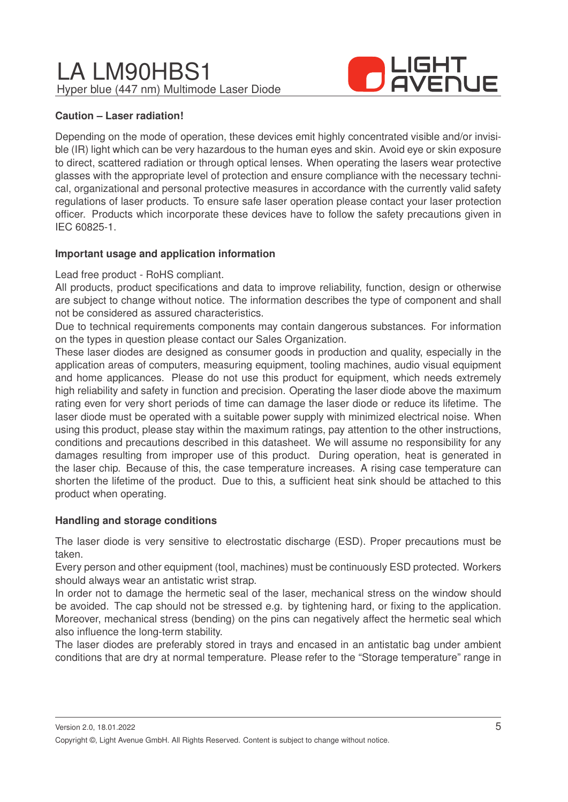

### **Caution – Laser radiation!**

Depending on the mode of operation, these devices emit highly concentrated visible and/or invisible (IR) light which can be very hazardous to the human eyes and skin. Avoid eye or skin exposure to direct, scattered radiation or through optical lenses. When operating the lasers wear protective glasses with the appropriate level of protection and ensure compliance with the necessary technical, organizational and personal protective measures in accordance with the currently valid safety regulations of laser products. To ensure safe laser operation please contact your laser protection officer. Products which incorporate these devices have to follow the safety precautions given in IEC 60825-1.

### **Important usage and application information**

### Lead free product - RoHS compliant.

All products, product specifications and data to improve reliability, function, design or otherwise are subject to change without notice. The information describes the type of component and shall not be considered as assured characteristics.

Due to technical requirements components may contain dangerous substances. For information on the types in question please contact our Sales Organization.

These laser diodes are designed as consumer goods in production and quality, especially in the application areas of computers, measuring equipment, tooling machines, audio visual equipment and home applicances. Please do not use this product for equipment, which needs extremely high reliability and safety in function and precision. Operating the laser diode above the maximum rating even for very short periods of time can damage the laser diode or reduce its lifetime. The laser diode must be operated with a suitable power supply with minimized electrical noise. When using this product, please stay within the maximum ratings, pay attention to the other instructions, conditions and precautions described in this datasheet. We will assume no responsibility for any damages resulting from improper use of this product. During operation, heat is generated in the laser chip. Because of this, the case temperature increases. A rising case temperature can shorten the lifetime of the product. Due to this, a sufficient heat sink should be attached to this product when operating.

### **Handling and storage conditions**

The laser diode is very sensitive to electrostatic discharge (ESD). Proper precautions must be taken.

Every person and other equipment (tool, machines) must be continuously ESD protected. Workers should always wear an antistatic wrist strap.

In order not to damage the hermetic seal of the laser, mechanical stress on the window should be avoided. The cap should not be stressed e.g. by tightening hard, or fixing to the application. Moreover, mechanical stress (bending) on the pins can negatively affect the hermetic seal which also influence the long-term stability.

The laser diodes are preferably stored in trays and encased in an antistatic bag under ambient conditions that are dry at normal temperature. Please refer to the "Storage temperature" range in

Version 2.0, 18.01.2022

Copyright ©, Light Avenue GmbH. All Rights Reserved. Content is subject to change without notice.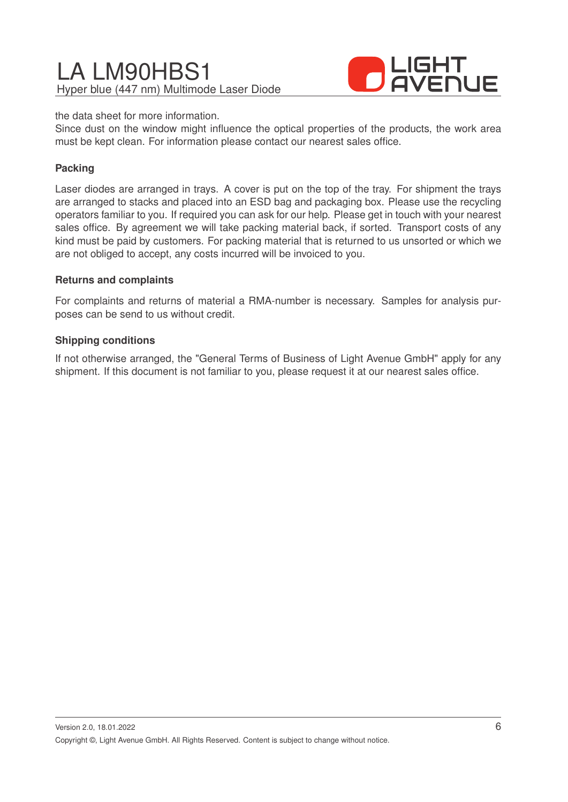

the data sheet for more information.

Since dust on the window might influence the optical properties of the products, the work area must be kept clean. For information please contact our nearest sales office.

### **Packing**

Laser diodes are arranged in trays. A cover is put on the top of the tray. For shipment the trays are arranged to stacks and placed into an ESD bag and packaging box. Please use the recycling operators familiar to you. If required you can ask for our help. Please get in touch with your nearest sales office. By agreement we will take packing material back, if sorted. Transport costs of any kind must be paid by customers. For packing material that is returned to us unsorted or which we are not obliged to accept, any costs incurred will be invoiced to you.

### **Returns and complaints**

For complaints and returns of material a RMA-number is necessary. Samples for analysis purposes can be send to us without credit.

### **Shipping conditions**

If not otherwise arranged, the "General Terms of Business of Light Avenue GmbH" apply for any shipment. If this document is not familiar to you, please request it at our nearest sales office.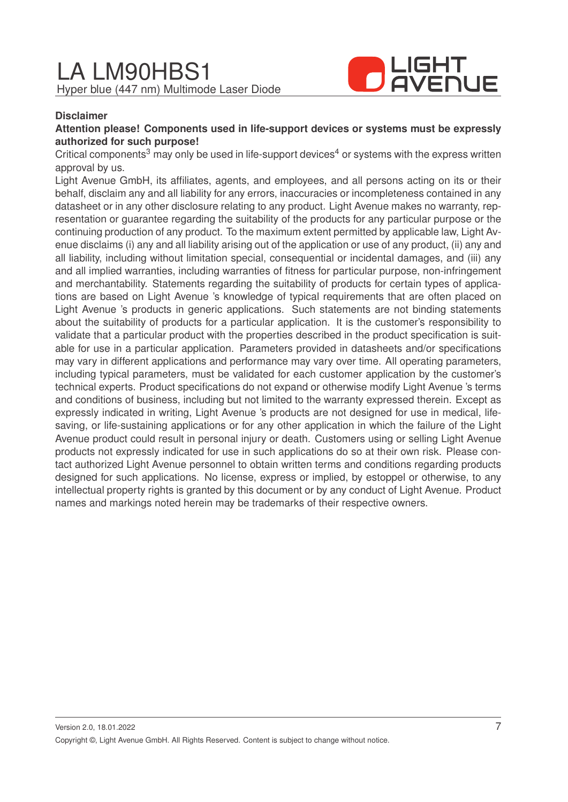

### **Disclaimer**

### **Attention please! Components used in life-support devices or systems must be expressly authorized for such purpose!**

Critical components<sup>3</sup> may only be used in life-support devices<sup>4</sup> or systems with the express written approval by us.

Light Avenue GmbH, its affiliates, agents, and employees, and all persons acting on its or their behalf, disclaim any and all liability for any errors, inaccuracies or incompleteness contained in any datasheet or in any other disclosure relating to any product. Light Avenue makes no warranty, representation or guarantee regarding the suitability of the products for any particular purpose or the continuing production of any product. To the maximum extent permitted by applicable law, Light Avenue disclaims (i) any and all liability arising out of the application or use of any product, (ii) any and all liability, including without limitation special, consequential or incidental damages, and (iii) any and all implied warranties, including warranties of fitness for particular purpose, non-infringement and merchantability. Statements regarding the suitability of products for certain types of applications are based on Light Avenue 's knowledge of typical requirements that are often placed on Light Avenue 's products in generic applications. Such statements are not binding statements about the suitability of products for a particular application. It is the customer's responsibility to validate that a particular product with the properties described in the product specification is suitable for use in a particular application. Parameters provided in datasheets and/or specifications may vary in different applications and performance may vary over time. All operating parameters, including typical parameters, must be validated for each customer application by the customer's technical experts. Product specifications do not expand or otherwise modify Light Avenue 's terms and conditions of business, including but not limited to the warranty expressed therein. Except as expressly indicated in writing, Light Avenue 's products are not designed for use in medical, lifesaving, or life-sustaining applications or for any other application in which the failure of the Light Avenue product could result in personal injury or death. Customers using or selling Light Avenue products not expressly indicated for use in such applications do so at their own risk. Please contact authorized Light Avenue personnel to obtain written terms and conditions regarding products designed for such applications. No license, express or implied, by estoppel or otherwise, to any intellectual property rights is granted by this document or by any conduct of Light Avenue. Product names and markings noted herein may be trademarks of their respective owners.